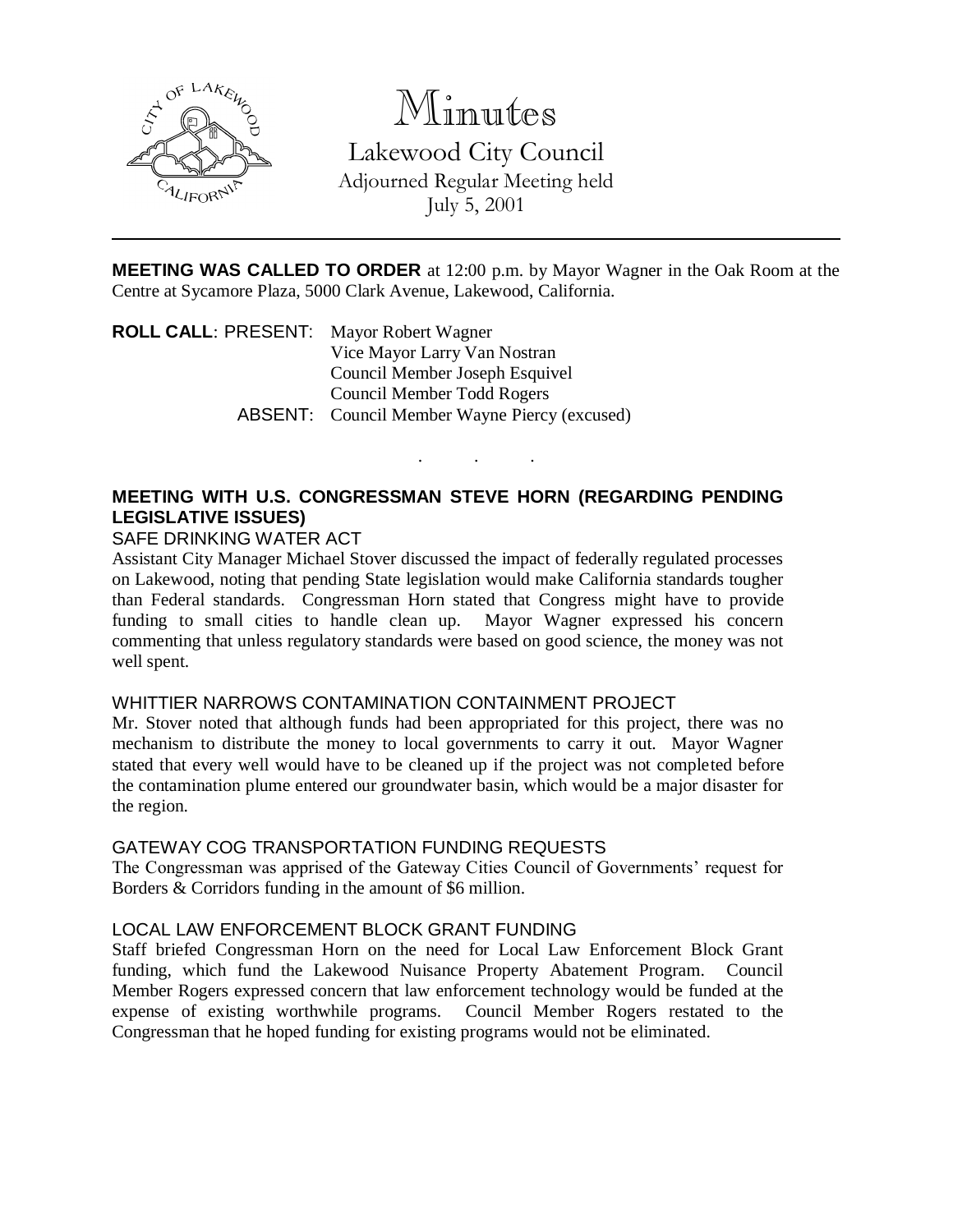

# Minutes

Lakewood City Council Adjourned Regular Meeting held July 5, 2001

**MEETING WAS CALLED TO ORDER** at 12:00 p.m. by Mayor Wagner in the Oak Room at the Centre at Sycamore Plaza, 5000 Clark Avenue, Lakewood, California.

. . .

**ROLL CALL**: PRESENT: Mayor Robert Wagner Vice Mayor Larry Van Nostran Council Member Joseph Esquivel Council Member Todd Rogers ABSENT: Council Member Wayne Piercy (excused)

# **MEETING WITH U.S. CONGRESSMAN STEVE HORN (REGARDING PENDING LEGISLATIVE ISSUES)**

#### SAFE DRINKING WATER ACT

Assistant City Manager Michael Stover discussed the impact of federally regulated processes on Lakewood, noting that pending State legislation would make California standards tougher than Federal standards. Congressman Horn stated that Congress might have to provide funding to small cities to handle clean up. Mayor Wagner expressed his concern commenting that unless regulatory standards were based on good science, the money was not well spent.

#### WHITTIER NARROWS CONTAMINATION CONTAINMENT PROJECT

Mr. Stover noted that although funds had been appropriated for this project, there was no mechanism to distribute the money to local governments to carry it out. Mayor Wagner stated that every well would have to be cleaned up if the project was not completed before the contamination plume entered our groundwater basin, which would be a major disaster for the region.

## GATEWAY COG TRANSPORTATION FUNDING REQUESTS

The Congressman was apprised of the Gateway Cities Council of Governments' request for Borders & Corridors funding in the amount of \$6 million.

## LOCAL LAW ENFORCEMENT BLOCK GRANT FUNDING

Staff briefed Congressman Horn on the need for Local Law Enforcement Block Grant funding, which fund the Lakewood Nuisance Property Abatement Program. Council Member Rogers expressed concern that law enforcement technology would be funded at the expense of existing worthwhile programs. Council Member Rogers restated to the Congressman that he hoped funding for existing programs would not be eliminated.